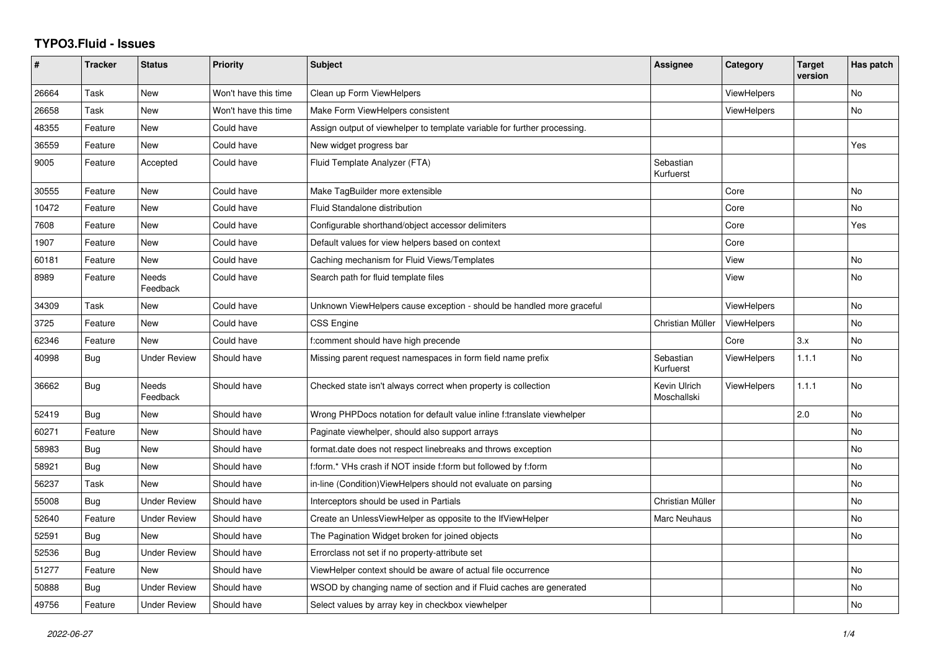## **TYPO3.Fluid - Issues**

| #     | <b>Tracker</b> | <b>Status</b>            | Priority             | Subject                                                                  | Assignee                    | Category           | <b>Target</b><br>version | Has patch |
|-------|----------------|--------------------------|----------------------|--------------------------------------------------------------------------|-----------------------------|--------------------|--------------------------|-----------|
| 26664 | Task           | New                      | Won't have this time | Clean up Form ViewHelpers                                                |                             | <b>ViewHelpers</b> |                          | No        |
| 26658 | Task           | New                      | Won't have this time | Make Form ViewHelpers consistent                                         |                             | <b>ViewHelpers</b> |                          | No.       |
| 48355 | Feature        | New                      | Could have           | Assign output of viewhelper to template variable for further processing. |                             |                    |                          |           |
| 36559 | Feature        | <b>New</b>               | Could have           | New widget progress bar                                                  |                             |                    |                          | Yes       |
| 9005  | Feature        | Accepted                 | Could have           | Fluid Template Analyzer (FTA)                                            | Sebastian<br>Kurfuerst      |                    |                          |           |
| 30555 | Feature        | New                      | Could have           | Make TagBuilder more extensible                                          |                             | Core               |                          | No        |
| 10472 | Feature        | New                      | Could have           | Fluid Standalone distribution                                            |                             | Core               |                          | No        |
| 7608  | Feature        | New                      | Could have           | Configurable shorthand/object accessor delimiters                        |                             | Core               |                          | Yes       |
| 1907  | Feature        | <b>New</b>               | Could have           | Default values for view helpers based on context                         |                             | Core               |                          |           |
| 60181 | Feature        | New                      | Could have           | Caching mechanism for Fluid Views/Templates                              |                             | View               |                          | No        |
| 8989  | Feature        | <b>Needs</b><br>Feedback | Could have           | Search path for fluid template files                                     |                             | View               |                          | No        |
| 34309 | Task           | New                      | Could have           | Unknown ViewHelpers cause exception - should be handled more graceful    |                             | ViewHelpers        |                          | No        |
| 3725  | Feature        | New                      | Could have           | CSS Engine                                                               | Christian Müller            | ViewHelpers        |                          | No        |
| 62346 | Feature        | New                      | Could have           | f:comment should have high precende                                      |                             | Core               | 3.x                      | No        |
| 40998 | <b>Bug</b>     | Under Review             | Should have          | Missing parent request namespaces in form field name prefix              | Sebastian<br>Kurfuerst      | <b>ViewHelpers</b> | 1.1.1                    | No        |
| 36662 | Bug            | Needs<br>Feedback        | Should have          | Checked state isn't always correct when property is collection           | Kevin Ulrich<br>Moschallski | ViewHelpers        | 1.1.1                    | No        |
| 52419 | Bug            | New                      | Should have          | Wrong PHPDocs notation for default value inline f:translate viewhelper   |                             |                    | 2.0                      | No        |
| 60271 | Feature        | <b>New</b>               | Should have          | Paginate viewhelper, should also support arrays                          |                             |                    |                          | No        |
| 58983 | Bug            | <b>New</b>               | Should have          | format.date does not respect linebreaks and throws exception             |                             |                    |                          | No        |
| 58921 | Bug            | New                      | Should have          | f:form.* VHs crash if NOT inside f:form but followed by f:form           |                             |                    |                          | No        |
| 56237 | Task           | <b>New</b>               | Should have          | in-line (Condition) View Helpers should not evaluate on parsing          |                             |                    |                          | No.       |
| 55008 | Bug            | <b>Under Review</b>      | Should have          | Interceptors should be used in Partials                                  | Christian Müller            |                    |                          | No        |
| 52640 | Feature        | <b>Under Review</b>      | Should have          | Create an UnlessViewHelper as opposite to the IfViewHelper               | Marc Neuhaus                |                    |                          | No        |
| 52591 | Bug            | <b>New</b>               | Should have          | The Pagination Widget broken for joined objects                          |                             |                    |                          | No        |
| 52536 | <b>Bug</b>     | <b>Under Review</b>      | Should have          | Errorclass not set if no property-attribute set                          |                             |                    |                          |           |
| 51277 | Feature        | <b>New</b>               | Should have          | ViewHelper context should be aware of actual file occurrence             |                             |                    |                          | No        |
| 50888 | Bug            | <b>Under Review</b>      | Should have          | WSOD by changing name of section and if Fluid caches are generated       |                             |                    |                          | No.       |
| 49756 | Feature        | <b>Under Review</b>      | Should have          | Select values by array key in checkbox viewhelper                        |                             |                    |                          | No        |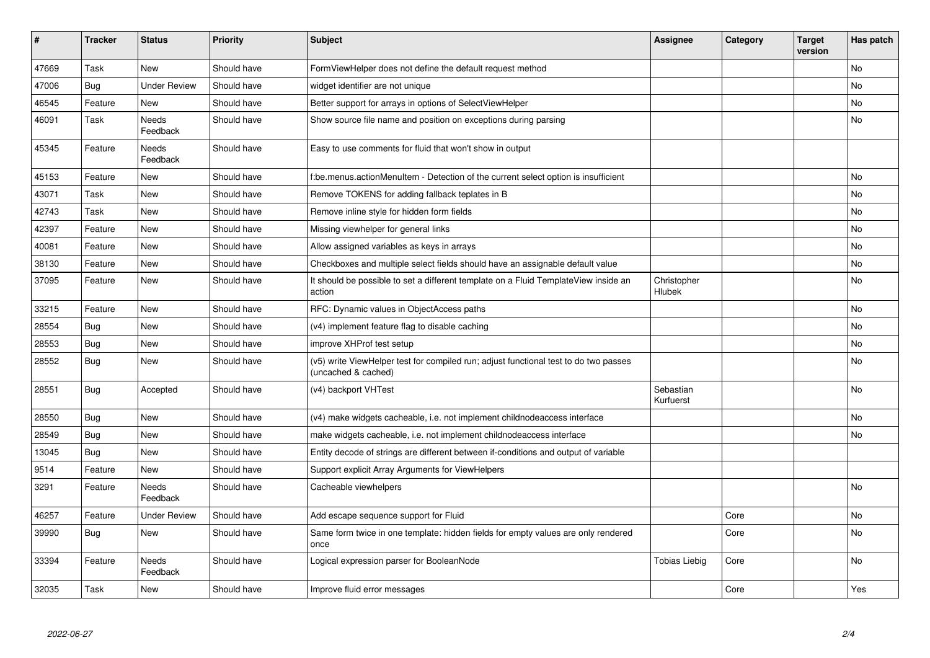| #     | <b>Tracker</b> | <b>Status</b>            | <b>Priority</b> | Subject                                                                                                     | Assignee               | Category | <b>Target</b><br>version | Has patch |
|-------|----------------|--------------------------|-----------------|-------------------------------------------------------------------------------------------------------------|------------------------|----------|--------------------------|-----------|
| 47669 | Task           | <b>New</b>               | Should have     | FormViewHelper does not define the default request method                                                   |                        |          |                          | <b>No</b> |
| 47006 | <b>Bug</b>     | <b>Under Review</b>      | Should have     | widget identifier are not unique                                                                            |                        |          |                          | No        |
| 46545 | Feature        | New                      | Should have     | Better support for arrays in options of SelectViewHelper                                                    |                        |          |                          | No        |
| 46091 | Task           | <b>Needs</b><br>Feedback | Should have     | Show source file name and position on exceptions during parsing                                             |                        |          |                          | No        |
| 45345 | Feature        | Needs<br>Feedback        | Should have     | Easy to use comments for fluid that won't show in output                                                    |                        |          |                          |           |
| 45153 | Feature        | New                      | Should have     | f:be.menus.actionMenuItem - Detection of the current select option is insufficient                          |                        |          |                          | <b>No</b> |
| 43071 | Task           | <b>New</b>               | Should have     | Remove TOKENS for adding fallback teplates in B                                                             |                        |          |                          | <b>No</b> |
| 42743 | Task           | New                      | Should have     | Remove inline style for hidden form fields                                                                  |                        |          |                          | <b>No</b> |
| 42397 | Feature        | New                      | Should have     | Missing viewhelper for general links                                                                        |                        |          |                          | <b>No</b> |
| 40081 | Feature        | <b>New</b>               | Should have     | Allow assigned variables as keys in arrays                                                                  |                        |          |                          | No        |
| 38130 | Feature        | <b>New</b>               | Should have     | Checkboxes and multiple select fields should have an assignable default value                               |                        |          |                          | <b>No</b> |
| 37095 | Feature        | <b>New</b>               | Should have     | It should be possible to set a different template on a Fluid TemplateView inside an<br>action               | Christopher<br>Hlubek  |          |                          | No        |
| 33215 | Feature        | <b>New</b>               | Should have     | RFC: Dynamic values in ObjectAccess paths                                                                   |                        |          |                          | <b>No</b> |
| 28554 | Bug            | New                      | Should have     | (v4) implement feature flag to disable caching                                                              |                        |          |                          | <b>No</b> |
| 28553 | <b>Bug</b>     | New                      | Should have     | improve XHProf test setup                                                                                   |                        |          |                          | No        |
| 28552 | <b>Bug</b>     | New                      | Should have     | (v5) write ViewHelper test for compiled run; adjust functional test to do two passes<br>(uncached & cached) |                        |          |                          | <b>No</b> |
| 28551 | <b>Bug</b>     | Accepted                 | Should have     | (v4) backport VHTest                                                                                        | Sebastian<br>Kurfuerst |          |                          | <b>No</b> |
| 28550 | <b>Bug</b>     | <b>New</b>               | Should have     | (v4) make widgets cacheable, i.e. not implement childnodeaccess interface                                   |                        |          |                          | <b>No</b> |
| 28549 | Bug            | New                      | Should have     | make widgets cacheable, i.e. not implement childnodeaccess interface                                        |                        |          |                          | <b>No</b> |
| 13045 | Bug            | New                      | Should have     | Entity decode of strings are different between if-conditions and output of variable                         |                        |          |                          |           |
| 9514  | Feature        | New                      | Should have     | Support explicit Array Arguments for ViewHelpers                                                            |                        |          |                          |           |
| 3291  | Feature        | Needs<br>Feedback        | Should have     | Cacheable viewhelpers                                                                                       |                        |          |                          | <b>No</b> |
| 46257 | Feature        | <b>Under Review</b>      | Should have     | Add escape sequence support for Fluid                                                                       |                        | Core     |                          | No        |
| 39990 | Bug            | New                      | Should have     | Same form twice in one template: hidden fields for empty values are only rendered<br>once                   |                        | Core     |                          | No        |
| 33394 | Feature        | <b>Needs</b><br>Feedback | Should have     | Logical expression parser for BooleanNode                                                                   | <b>Tobias Liebig</b>   | Core     |                          | <b>No</b> |
| 32035 | Task           | New                      | Should have     | Improve fluid error messages                                                                                |                        | Core     |                          | Yes       |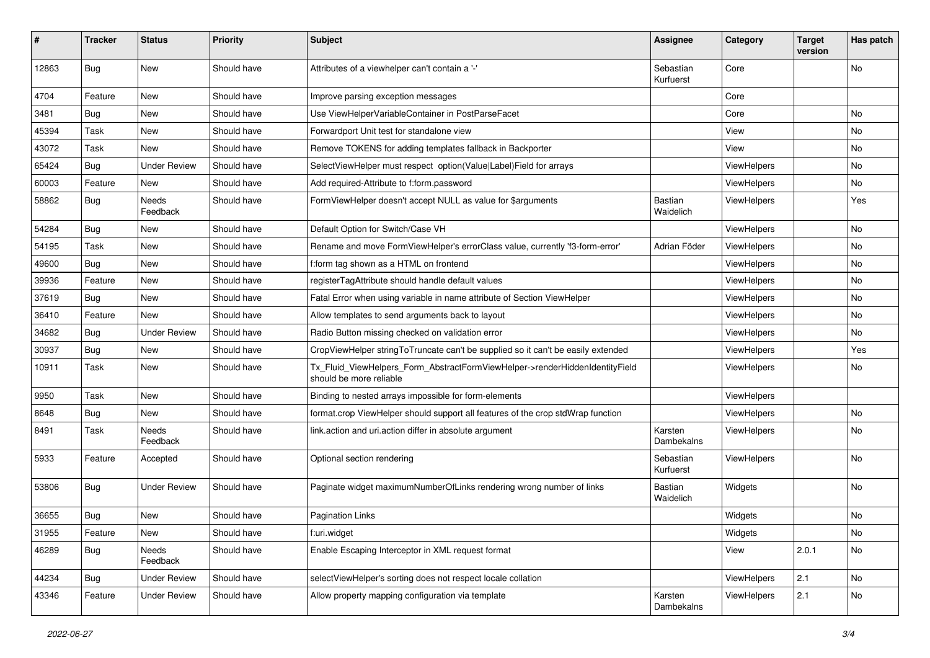| #     | <b>Tracker</b> | <b>Status</b>            | <b>Priority</b> | <b>Subject</b>                                                                                         | <b>Assignee</b>        | Category    | <b>Target</b><br>version | Has patch |
|-------|----------------|--------------------------|-----------------|--------------------------------------------------------------------------------------------------------|------------------------|-------------|--------------------------|-----------|
| 12863 | Bug            | New                      | Should have     | Attributes of a viewhelper can't contain a '-'                                                         | Sebastian<br>Kurfuerst | Core        |                          | No        |
| 4704  | Feature        | New                      | Should have     | Improve parsing exception messages                                                                     |                        | Core        |                          |           |
| 3481  | Bug            | New                      | Should have     | Use ViewHelperVariableContainer in PostParseFacet                                                      |                        | Core        |                          | No        |
| 45394 | Task           | New                      | Should have     | Forwardport Unit test for standalone view                                                              |                        | View        |                          | No        |
| 43072 | Task           | New                      | Should have     | Remove TOKENS for adding templates fallback in Backporter                                              |                        | View        |                          | No        |
| 65424 | <b>Bug</b>     | <b>Under Review</b>      | Should have     | SelectViewHelper must respect option(Value Label)Field for arrays                                      |                        | ViewHelpers |                          | No        |
| 60003 | Feature        | New                      | Should have     | Add required-Attribute to f:form.password                                                              |                        | ViewHelpers |                          | No.       |
| 58862 | Bug            | <b>Needs</b><br>Feedback | Should have     | FormViewHelper doesn't accept NULL as value for \$arguments                                            | Bastian<br>Waidelich   | ViewHelpers |                          | Yes       |
| 54284 | Bug            | New                      | Should have     | Default Option for Switch/Case VH                                                                      |                        | ViewHelpers |                          | No        |
| 54195 | Task           | New                      | Should have     | Rename and move FormViewHelper's errorClass value, currently 'f3-form-error'                           | Adrian Föder           | ViewHelpers |                          | No        |
| 49600 | Bug            | New                      | Should have     | f:form tag shown as a HTML on frontend                                                                 |                        | ViewHelpers |                          | No        |
| 39936 | Feature        | <b>New</b>               | Should have     | registerTagAttribute should handle default values                                                      |                        | ViewHelpers |                          | No.       |
| 37619 | Bug            | New                      | Should have     | Fatal Error when using variable in name attribute of Section ViewHelper                                |                        | ViewHelpers |                          | No        |
| 36410 | Feature        | New                      | Should have     | Allow templates to send arguments back to layout                                                       |                        | ViewHelpers |                          | No        |
| 34682 | Bug            | <b>Under Review</b>      | Should have     | Radio Button missing checked on validation error                                                       |                        | ViewHelpers |                          | No        |
| 30937 | Bug            | New                      | Should have     | CropViewHelper stringToTruncate can't be supplied so it can't be easily extended                       |                        | ViewHelpers |                          | Yes       |
| 10911 | Task           | New                      | Should have     | Tx_Fluid_ViewHelpers_Form_AbstractFormViewHelper->renderHiddenIdentityField<br>should be more reliable |                        | ViewHelpers |                          | No.       |
| 9950  | Task           | New                      | Should have     | Binding to nested arrays impossible for form-elements                                                  |                        | ViewHelpers |                          |           |
| 8648  | Bug            | New                      | Should have     | format.crop ViewHelper should support all features of the crop stdWrap function                        |                        | ViewHelpers |                          | No        |
| 8491  | Task           | Needs<br>Feedback        | Should have     | link.action and uri.action differ in absolute argument                                                 | Karsten<br>Dambekalns  | ViewHelpers |                          | No        |
| 5933  | Feature        | Accepted                 | Should have     | Optional section rendering                                                                             | Sebastian<br>Kurfuerst | ViewHelpers |                          | No        |
| 53806 | Bug            | <b>Under Review</b>      | Should have     | Paginate widget maximumNumberOfLinks rendering wrong number of links                                   | Bastian<br>Waidelich   | Widgets     |                          | No        |
| 36655 | Bug            | New                      | Should have     | <b>Pagination Links</b>                                                                                |                        | Widgets     |                          | No        |
| 31955 | Feature        | New                      | Should have     | f:uri.widget                                                                                           |                        | Widgets     |                          | No        |
| 46289 | Bug            | Needs<br>Feedback        | Should have     | Enable Escaping Interceptor in XML request format                                                      |                        | View        | 2.0.1                    | No        |
| 44234 | <b>Bug</b>     | <b>Under Review</b>      | Should have     | selectViewHelper's sorting does not respect locale collation                                           |                        | ViewHelpers | 2.1                      | No        |
| 43346 | Feature        | <b>Under Review</b>      | Should have     | Allow property mapping configuration via template                                                      | Karsten<br>Dambekalns  | ViewHelpers | 2.1                      | No        |